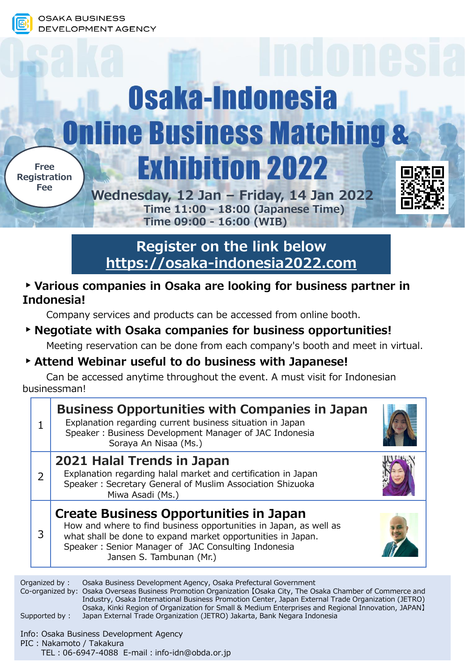# Osaka-Indonesia **Online Business Matching & Exhibition 2022 Free Registration Fee**



**Wednesday, 12 Jan – Friday, 14 Jan 2022 Time 11:00 - 18:00 (Japanese Time) Time 09:00 - 16:00 (WIB)**

**Register on the link below [https://osaka-indonesia2022.com](https://osaka-indonesia2022.com/)**

#### **▸Various companies in Osaka are looking for business partner in Indonesia!**

Company services and products can be accessed from online booth.

### **▸Negotiate with Osaka companies for business opportunities!**

Meeting reservation can be done from each company's booth and meet in virtual.

#### **▸Attend Webinar useful to do business with Japanese!**

Can be accessed anytime throughout the event. A must visit for Indonesian businessman!

|   | <b>Business Opportunities with Companies in Japan</b><br>Explanation regarding current business situation in Japan<br>Speaker: Business Development Manager of JAC Indonesia<br>Soraya An Nisaa (Ms.)                                                                |  |
|---|----------------------------------------------------------------------------------------------------------------------------------------------------------------------------------------------------------------------------------------------------------------------|--|
| 2 | 2021 Halal Trends in Japan<br>Explanation regarding halal market and certification in Japan<br>Speaker: Secretary General of Muslim Association Shizuoka<br>Miwa Asadi (Ms.)                                                                                         |  |
| 3 | <b>Create Business Opportunities in Japan</b><br>How and where to find business opportunities in Japan, as well as<br>what shall be done to expand market opportunities in Japan.<br>Speaker: Senior Manager of JAC Consulting Indonesia<br>Jansen S. Tambunan (Mr.) |  |

Organized by : Osaka Business Development Agency, Osaka Prefectural Government Co-organized by: Osaka Overseas Business Promotion Organization 【Osaka City, The Osaka Chamber of Commerce and Industry, Osaka International Business Promotion Center, Japan External Trade Organization (JETRO) Osaka, Kinki Region of Organization for Small & Medium Enterprises and Regional Innovation, JAPAN】 Supported by : Japan External Trade Organization (JETRO) Jakarta, Bank Negara Indonesia

Info: Osaka Business Development Agency PIC : Nakamoto / Takakura

TEL: 06-6947-4088 E-mail: info-idn@obda.or.jp